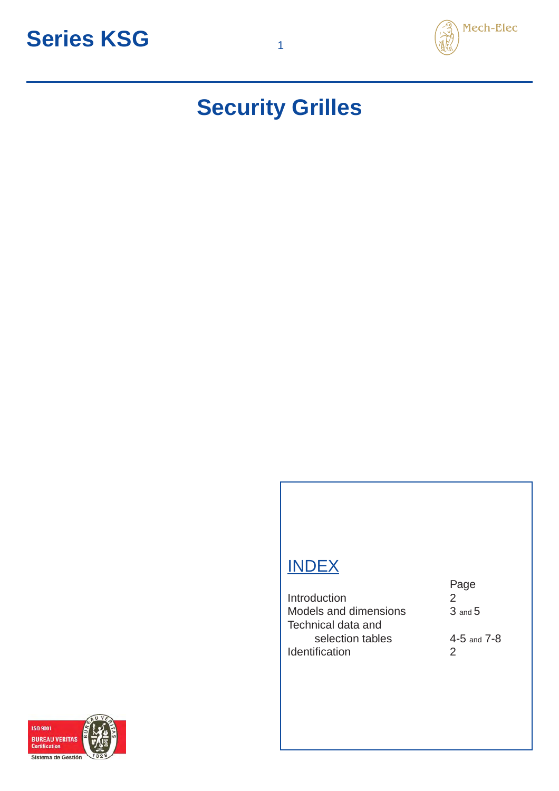

## **Security Grilles**

### **INDEX**

Introduction 2 Models and dimensions 3 and 5 Technical data and selection tables 4-5 and 7-8 Identification 2

Page

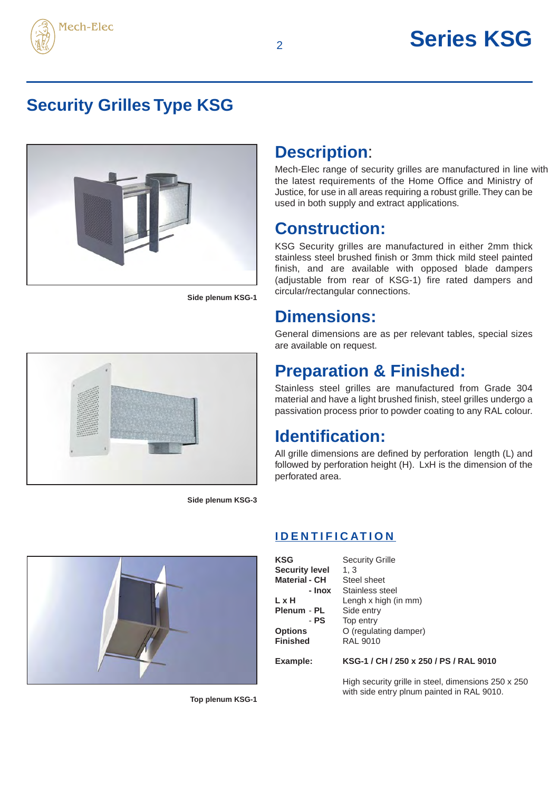

### **Security Grilles Type KSG**



**Side plenum KSG-1**

### **Description**:

Mech-Elec range of security grilles are manufactured in line with the latest requirements of the Home Office and Ministry of Justice, for use in all areas requiring a robust grille. They can be used in both supply and extract applications.

#### **Construction:**

KSG Security grilles are manufactured in either 2mm thick stainless steel brushed finish or 3mm thick mild steel painted finish, and are available with opposed blade dampers (adjustable from rear of KSG-1) fire rated dampers and circular/rectangular connections.

#### **Dimensions:**

General dimensions are as per relevant tables, special sizes are available on request.

### **Preparation & Finished:**

Stainless steel grilles are manufactured from Grade 304 material and have a light brushed finish, steel grilles undergo a passivation process prior to powder coating to any RAL colour.

#### **Identification:**

All grille dimensions are defined by perforation length (L) and followed by perforation height (H). LxH is the dimension of the perforated area.

**Side plenum KSG-3**



**IDENTIFICATION**

| <b>KSG</b>            | <b>Security Grille</b>                 |
|-----------------------|----------------------------------------|
| <b>Security level</b> | 1.3                                    |
| Material - CH         | Steel sheet                            |
| - Inox                | Stainless steel                        |
| LxH                   | Lengh x high (in mm)                   |
| Plenum - PL           | Side entry                             |
| - PS                  | Top entry                              |
| <b>Options</b>        | O (regulating damper)                  |
| <b>Finished</b>       | <b>RAL 9010</b>                        |
| Example:              | KSG-1 / CH / 250 x 250 / PS / RAL 9010 |
|                       |                                        |

High security grille in steel, dimensions 250 x 250 with side entry plnum painted in RAL 9010.

**Top plenum KSG-1**

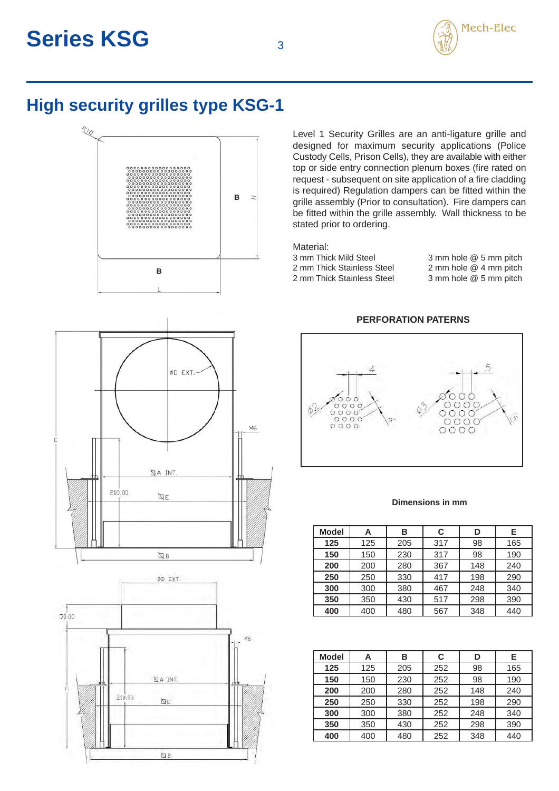

### **High security grilles type KSG-1**



ØD EXT. M6 QA INT.  $210,00$  $\mathbb{Q}$  E  $\nabla \mathbb{B}$ ØD EXT  $\frac{1}{1000}$ Mь **QA INT**  $210,00$ ÌД  $\nabla$  B

Level 1 Security Grilles are an anti-ligature grille and designed for maximum security applications (Police Custody Cells, Prison Cells), they are available with either top or side entry connection plenum boxes (fire rated on request - subsequent on site application of a fire cladding is required) Regulation dampers can be fitted within the grille assembly (Prior to consultation). Fire dampers can be fitted within the grille assembly. Wall thickness to be stated prior to ordering.

| Material:                  |                        |
|----------------------------|------------------------|
| 3 mm Thick Mild Steel      | 3 mm hole @ 5 mm pitch |
| 2 mm Thick Stainless Steel | 2 mm hole @ 4 mm pitch |
| 2 mm Thick Stainless Steel | 3 mm hole @ 5 mm pitch |
|                            |                        |

#### **PERFORATION PATERNS**



#### **Dimensions in mm**

| <b>Model</b> | Α   | в   | C   | D   | Е   |
|--------------|-----|-----|-----|-----|-----|
| 125          | 125 | 205 | 317 | 98  | 165 |
| 150          | 150 | 230 | 317 | 98  | 190 |
| 200          | 200 | 280 | 367 | 148 | 240 |
| 250          | 250 | 330 | 417 | 198 | 290 |
| 300          | 300 | 380 | 467 | 248 | 340 |
| 350          | 350 | 430 | 517 | 298 | 390 |
| 400          | 400 | 480 | 567 | 348 | 440 |

| <b>Model</b> | Α   | в   | C   | D   | Е   |
|--------------|-----|-----|-----|-----|-----|
| 125          | 125 | 205 | 252 | 98  | 165 |
| 150          | 150 | 230 | 252 | 98  | 190 |
| 200          | 200 | 280 | 252 | 148 | 240 |
| 250          | 250 | 330 | 252 | 198 | 290 |
| 300          | 300 | 380 | 252 | 248 | 340 |
| 350          | 350 | 430 | 252 | 298 | 390 |
| 400          | 400 | 480 | 252 | 348 | 440 |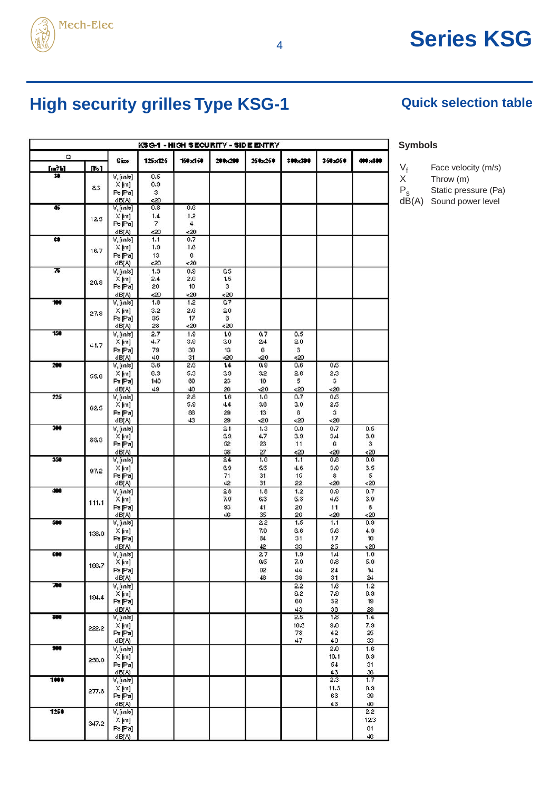

## <sup>4</sup> **Series KSG**

## **High security grilles Type KSG-1 Quick selection table**

| KSG-1 - HIGH SECURITY - SIDE ENTRY |       |                         |            |            |            |            |            |             |                 |  |
|------------------------------------|-------|-------------------------|------------|------------|------------|------------|------------|-------------|-----------------|--|
| Q                                  |       | Size                    | 125x125    | 150x150    | 200x200    | 250x250    | 300x300    | 150,050     | 40 x 100        |  |
| [m7b]                              | Do 1  |                         |            |            |            |            |            |             |                 |  |
| 30                                 |       | V, [m/s]                | 0.5        |            |            |            |            |             |                 |  |
|                                    | 83    | $\times$ [m]<br>Ps[Pa]  | 0,9<br>з   |            |            |            |            |             |                 |  |
|                                    |       | dB(A)                   | 520        |            |            |            |            |             |                 |  |
| 45                                 |       | V.[m/s]                 | 0,8        | 0.6        |            |            |            |             |                 |  |
|                                    | 12.5  | $\times$ [m]            | 1.4        | 1.2        |            |            |            |             |                 |  |
|                                    |       | Ps[Pa]                  | 7          | 4          |            |            |            |             |                 |  |
| œ                                  |       | (IB(A)<br>V.[m/s]       | 520<br>1.1 | <20<br>0.7 |            |            |            |             |                 |  |
|                                    |       | X [m]                   | 1,9        | 1.6        |            |            |            |             |                 |  |
|                                    | 16.7  | Ps[Pa]                  | 13         | B          |            |            |            |             |                 |  |
|                                    |       | dB(A)                   | <20        | <20        |            |            |            |             |                 |  |
| ক                                  |       | V, [m/s]                | 1,3        | 0.9        | ū5         |            |            |             |                 |  |
|                                    | 20.8  | $X$ [m]                 | 2.4        | 2.0        | 1.5        |            |            |             |                 |  |
|                                    |       | Ps[Pa]<br>dB(A)         | 20<br>520  | 10<br>520  | з<br>520   |            |            |             |                 |  |
| w                                  |       | V, [m/s]                | 1.8        | 1.2        | 0.7        |            |            |             |                 |  |
|                                    | 27.8  | $X$ [m]                 | 3,2        | 2,6        | 20         |            |            |             |                 |  |
|                                    |       | P≽[Pa]                  | 35         | 17         | в          |            |            |             |                 |  |
|                                    |       | dB(A)                   | 28         | 520        | < 20       |            |            |             |                 |  |
| 150                                |       | V, [m/s]                | 2.7        | 1.9        | 1.0        | 0.7        | 0,5        |             |                 |  |
|                                    | 41.7  | $X$ [m]<br>Ps[Pa]       | 4.7<br>79  | 3,9<br>30  | 30<br>13   | 24<br>6    | 20<br>з    |             |                 |  |
|                                    |       | dB(A)                   | 40         | 31         | -20        | -20        | 520        |             |                 |  |
| 200                                |       | V, [m/s]                | 3.6        | 2,5        | 1.4        | 0,9        | 0,6        | 0.5         |                 |  |
|                                    | 55.6  | $X$ [m]                 | 0,3        | 5,3        | 39         | 32         | 26         | 2,3         |                 |  |
|                                    |       | P≽[Pa]                  | 140        | 00         | 23         | 10         | 5          | з           |                 |  |
| 225                                |       | dB(A)                   | 49         | 40<br>2,8  | 26<br>1.6  | -20<br>1,0 | <20<br>0.7 | <20<br>0.5  |                 |  |
|                                    |       | V, [m/s]<br>X [m]       |            | 5.9        | 44         | 36         | 30         | 2.5         |                 |  |
|                                    | 62.5  | Ps[Pa]                  |            | 88         | 20         | 13         | ß          | з           |                 |  |
|                                    |       | dB(A)                   |            | 43         | 20         | -20        | 520        | -20         |                 |  |
| 100                                |       | V, [m/s]                |            |            | 21         | 1, 3       | 0,9        | 0,7         | 0.5             |  |
|                                    | 83.3  | X [m]                   |            |            | 59         | 47         | 39         | 3.4         | 3,0             |  |
|                                    |       | P≽[Pa]<br>dB(A)         |            |            | œ<br>38    | 23<br>27   | 11<br><20  | G<br><20    | з<br>$\prec 20$ |  |
| 150                                |       | $V$ , [m/s]             |            |            | 24         | 1.6        | 1.1        | 0.8         | 0.6             |  |
|                                    |       | $\times$ [m]            |            |            | ß٥         | 55         | 46         | 3.9         | 3,5             |  |
|                                    | 97.2  | Ps[Pa]                  |            |            | 71         | 31         | 15         | 8           | 5               |  |
|                                    |       | dB(A)                   |            |            | 42         | 31         | 22         | -20         | -20             |  |
| 400                                |       | V, [m/s]                |            |            | 28         | 1, 8       | 1.2        | 0.9         | 0.7             |  |
|                                    | 111.1 | $\times$ [m]<br>Pa [Pa] |            |            | 7.9<br>83. | 63<br>41   | 53<br>20   | 4.5<br>11   | 3,0<br>c        |  |
|                                    |       | dB(A)                   |            |            | 46         | 35         | 26         | <20         | - 20            |  |
| 500                                |       | V, [m/s]                |            |            |            | 22         | 1.5        | 1.1         | 0,9             |  |
|                                    | 138.9 | $\times$ [m]            |            |            |            | 7.9        | G.G        | 5,6         | 4.9             |  |
|                                    |       | Ps[Pa]                  |            |            |            | 64         | 31         | 17          | 10              |  |
| œ                                  |       | dB(0)                   |            |            |            | 42         | 33<br>1.9  | 25          | $\cdot 20$      |  |
|                                    |       | V, [m/s]<br>X[m]        |            |            |            | 27<br>85   | 7,9        | 1.4<br>6,8  | 1.0<br>5,9      |  |
|                                    | 166,7 | Ps[Pa]                  |            |            |            | œ          | 44         | 24          | 14              |  |
|                                    |       | dB(A)                   |            |            |            | 48         | 39         | 31          | 24              |  |
| 70                                 |       | V, [m/s]                |            |            |            |            | 2.2        | 1.6         | 1.2             |  |
|                                    | 194.4 | X[m]                    |            |            |            |            | 0.2<br>60  | 7.9<br>32   | 6,0<br>19       |  |
|                                    |       | Ps[Pa]<br>dB(A)         |            |            |            |            | 43         | 36          | 20              |  |
| <b>SOO</b>                         |       | A' [wys]                |            |            |            |            | 2,5        | 1.8         | 1.4             |  |
|                                    | 222.2 | $X$ [m]                 |            |            |            |            | 10.5       | 0,0         | 7.9             |  |
|                                    |       | Ps[Pa]                  |            |            |            |            | 78         | 42          | 25              |  |
| 380                                |       | dB(A)                   |            |            |            |            | 47         | 40          | 33              |  |
|                                    |       | V.[m/s]<br>$\times$ [m] |            |            |            |            |            | 2.0<br>10.1 | 1.6<br>8.9      |  |
|                                    | 250.0 | Ps[Pa]                  |            |            |            |            |            | 54          | 31              |  |
|                                    |       | dB(A)                   |            |            |            |            |            | 43          | IB              |  |
| 1000                               |       | V, [m/s]                |            |            |            |            |            | 2.3         | 1.7             |  |
|                                    | 277.8 | $\times$ [m]            |            |            |            |            |            | 11.3        | 9,9             |  |
|                                    |       | Ps[Pa]                  |            |            |            |            |            | GG          | œ.              |  |
|                                    |       | dB(A)                   |            |            |            |            |            | 46          | 40              |  |
| 1250                               |       | V, [m/s]<br>$X$ [m]     |            |            |            |            |            |             | 2.2<br>123      |  |
|                                    | 347.2 | Ps[Pa]                  |            |            |            |            |            |             | G1              |  |
|                                    |       | dB(8)                   |            |            |            |            |            |             | Шŝ              |  |

#### **Symbols**

- 
- $V_f$  Face velocity (m/s)<br>X Throw (m) Throw  $(m)$ 
	-
- P<sub>s</sub> Static pressure (Pa) dB(A) Sound power level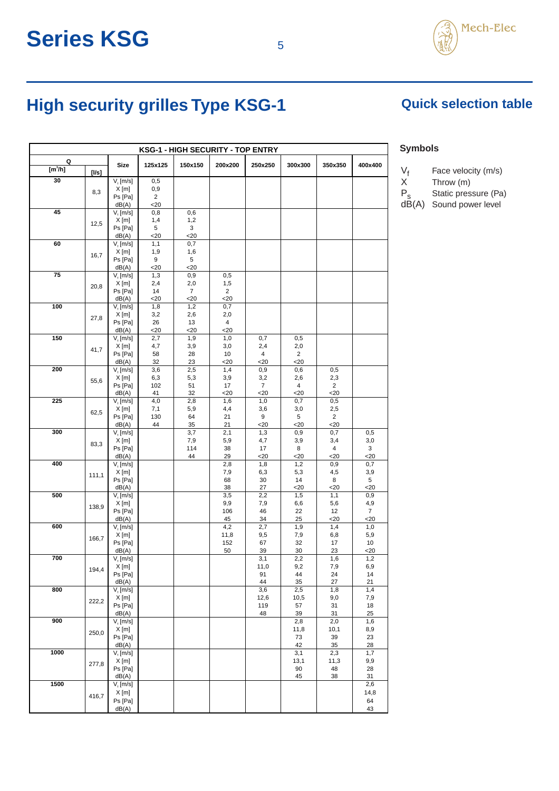

## High security grilles Type KSG-1 **Quick selection table**

| <b>KSG-1 - HIGH SECURITY - TOP ENTRY</b> |       |                          |               |                |                |             |             |               |                |
|------------------------------------------|-------|--------------------------|---------------|----------------|----------------|-------------|-------------|---------------|----------------|
| Q                                        |       | <b>Size</b>              | 125x125       | 150x150        | 200x200        | 250x250     | 300x300     | 350x350       | 400x400        |
| [m <sup>3</sup> /h]                      | [I/s] |                          |               |                |                |             |             |               |                |
| 30                                       |       | $Vr$ [m/s]<br>$X$ [m]    | 0,5<br>0,9    |                |                |             |             |               |                |
|                                          | 8,3   | Ps [Pa]                  | 2             |                |                |             |             |               |                |
|                                          |       | dB(A)                    | $20$          |                |                |             |             |               |                |
| 45                                       |       | V, [m/s]                 | 0,8           | 0,6            |                |             |             |               |                |
|                                          | 12,5  | $X$ [m]<br>Ps [Pa]       | 1,4<br>5      | 1,2<br>3       |                |             |             |               |                |
|                                          |       | dB(A)                    | $20$          | $<$ 20         |                |             |             |               |                |
| 60                                       |       | V, [m/s]                 | 1,1           | 0,7            |                |             |             |               |                |
|                                          | 16,7  | $X$ [m]                  | 1,9<br>9      | 1,6<br>5       |                |             |             |               |                |
|                                          |       | Ps [Pa]<br>dB(A)         | $20$          | $20$           |                |             |             |               |                |
| 75                                       |       | V, [m/s]                 | 1,3           | 0,9            | 0,5            |             |             |               |                |
|                                          | 20,8  | $X$ [m]                  | 2,4           | 2,0            | 1,5            |             |             |               |                |
|                                          |       | Ps [Pa]                  | 14            | $\overline{7}$ | $\overline{2}$ |             |             |               |                |
| 100                                      |       | dB(A)<br>V, [m/s]        | $<$ 20<br>1,8 | $20$<br>1,2    | $<$ 20<br>0,7  |             |             |               |                |
|                                          | 27,8  | $X$ [m]                  | 3,2           | 2,6            | 2,0            |             |             |               |                |
|                                          |       | Ps [Pa]                  | 26            | 13             | 4              |             |             |               |                |
| 150                                      |       | dB(A)<br>V, [m/s]        | $<$ 20<br>2,7 | <20<br>1,9     | <20<br>1,0     | 0,7         | 0,5         |               |                |
|                                          |       | $X$ [m]                  | 4,7           | 3,9            | 3,0            | 2,4         | 2,0         |               |                |
|                                          | 41,7  | Ps [Pa]                  | 58            | 28             | 10             | 4           | 2           |               |                |
|                                          |       | dB(A)                    | 32            | 23             | $<$ 20         | $<$ 20      | $<$ 20      |               |                |
| 200                                      |       | V, [m/s]<br>$X$ [m]      | 3,6           | 2,5            | 1,4            | 0,9<br>3,2  | 0,6<br>2,6  | 0,5           |                |
|                                          | 55,6  | Ps [Pa]                  | 6,3<br>102    | 5,3<br>51      | 3,9<br>17      | 7           | 4           | 2,3<br>2      |                |
|                                          |       | dB(A)                    | 41            | 32             | $<$ 20         | 20          | $20$        | $20$          |                |
| 225                                      |       | V, [m/s]                 | 4,0           | 2,8            | 1,6            | 1,0         | 0,7         | 0,5           |                |
|                                          | 62,5  | X[m]<br>Ps [Pa]          | 7,1<br>130    | 5,9<br>64      | 4,4<br>21      | 3,6<br>9    | 3,0<br>5    | 2,5<br>2      |                |
|                                          |       | dB(A)                    | 44            | 35             | 21             | $<$ 20      | $<$ 20      | $<$ 20        |                |
| 300                                      |       | V, [m/s]                 |               | 3,7            | 2,1            | 1,3         | 0,9         | 0,7           | 0,5            |
|                                          | 83,3  | X[m]                     |               | 7,9            | 5,9            | 4,7         | 3,9         | 3,4           | 3,0            |
|                                          |       | Ps [Pa]<br>dB(A)         |               | 114<br>44      | 38<br>29       | 17<br>$20$  | 8<br>$<$ 20 | 4<br>$20$     | 3<br>$<$ 20    |
| 400                                      |       | V, [m/s]                 |               |                | 2,8            | 1,8         | 1,2         | 0,9           | 0,7            |
|                                          | 111,1 | $X$ [m]                  |               |                | 7,9            | 6,3         | 5,3         | 4,5           | 3,9            |
|                                          |       | Ps [Pa]                  |               |                | 68             | 30          | 14          | 8             | 5              |
| 500                                      |       | dB(A)<br>V, [m/s]        |               |                | 38<br>3,5      | 27<br>2,2   | $20$<br>1,5 | $20$<br>1,1   | $20$<br>0,9    |
|                                          | 138,9 | $X$ [m]                  |               |                | 9,9            | 7,9         | 6,6         | 5,6           | 4,9            |
|                                          |       | Ps [Pa]                  |               |                | 106            | 46          | 22          | 12            | $\overline{7}$ |
| 600                                      |       | dB(A)                    |               |                | 45<br>4,2      | 34<br>2,7   | 25<br>1,9   | $<$ 20<br>1,4 | $20$<br>1,0    |
|                                          |       | V, [m/s]<br>$X$ [m]      |               |                | 11,8           | 9,5         | 7,9         | 6,8           | 5,9            |
|                                          | 166,7 | Ps [Pa]                  |               |                | 152            | 67          | 32          | 17            | 10             |
|                                          |       | dB(A)                    |               |                | 50             | 39          | 30          | 23            | $<$ 20         |
| 700                                      |       | $V_{1}$ [m/s]<br>$X$ [m] |               |                |                | 3,1<br>11,0 | 2,2<br>9,2  | 1,6<br>7,9    | 1,2<br>6,9     |
|                                          | 194,4 | Ps [Pa]                  |               |                |                | 91          | 44          | 24            | 14             |
|                                          |       | dB(A)                    |               |                |                | 44          | 35          | 27            | 21             |
| 800                                      |       | V, [m/s]                 |               |                |                | 3,6         | 2,5         | 1,8           | 1,4            |
|                                          | 222,2 | X[m]<br>Ps [Pa]          |               |                |                | 12,6<br>119 | 10,5<br>57  | 9,0<br>31     | 7,9<br>18      |
|                                          |       | dB(A)                    |               |                |                | 48          | 39          | 31            | 25             |
| 900                                      |       | V, [m/s]                 |               |                |                |             | 2,8         | 2,0           | 1,6            |
|                                          | 250,0 | $X$ [m]                  |               |                |                |             | 11,8        | 10,1          | 8,9            |
|                                          |       | Ps [Pa]<br>dB(A)         |               |                |                |             | 73<br>42    | 39<br>35      | 23<br>28       |
| 1000                                     |       | V, [m/s]                 |               |                |                |             | 3,1         | 2,3           | 1,7            |
|                                          | 277,8 | $X$ [m]                  |               |                |                |             | 13,1        | 11,3          | 9,9            |
|                                          |       | Ps [Pa]<br>dB(A)         |               |                |                |             | 90<br>45    | 48            | 28<br>31       |
| 1500                                     |       | V, [m/s]                 |               |                |                |             |             | 38            | 2,6            |
|                                          | 416,7 | X[m]                     |               |                |                |             |             |               | 14,8           |
|                                          |       | Ps [Pa]                  |               |                |                |             |             |               | 64             |
|                                          |       | dB(A)                    |               |                |                |             |             |               | 43             |

#### **Symbols**

 $V_f$  Face velocity (m/s)<br>X Throw (m)

Throw (m)

P<sub>s</sub> Static pressure (Pa)

dB(A) Sound power level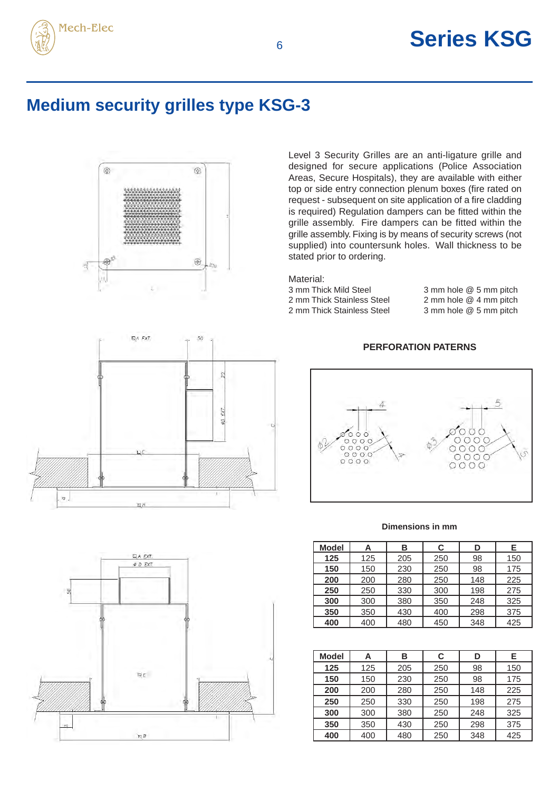

### **Medium security grilles type KSG-3**



Level 3 Security Grilles are an anti-ligature grille and designed for secure applications (Police Association Areas, Secure Hospitals), they are available with either top or side entry connection plenum boxes (fire rated on request - subsequent on site application of a fire cladding is required) Regulation dampers can be fitted within the grille assembly. Fire dampers can be fitted within the grille assembly. Fixing is by means of security screws (not supplied) into countersunk holes. Wall thickness to be stated prior to ordering.

Material:

3 mm Thick Mild Steel 3 mm hole @ 5 mm pitch<br>2 mm Thick Stainless Steel 2 mm hole @ 4 mm pitch 2 mm Thick Stainless Steel 3 mm hole @ 5 mm pitch

2 mm hole  $@$  4 mm pitch

#### **PERFORATION PATERNS**



#### **Dimensions in mm**

| <b>Model</b> | Α   | В   | C   | D   | Е   |
|--------------|-----|-----|-----|-----|-----|
| 125          | 125 | 205 | 250 | 98  | 150 |
| 150          | 150 | 230 | 250 | 98  | 175 |
| 200          | 200 | 280 | 250 | 148 | 225 |
| 250          | 250 | 330 | 300 | 198 | 275 |
| 300          | 300 | 380 | 350 | 248 | 325 |
| 350          | 350 | 430 | 400 | 298 | 375 |
| 400          | 400 | 480 | 450 | 348 | 425 |

| <b>Model</b> | Α   | в   | С   | D   | Е   |
|--------------|-----|-----|-----|-----|-----|
| 125          | 125 | 205 | 250 | 98  | 150 |
| 150          | 150 | 230 | 250 | 98  | 175 |
| 200          | 200 | 280 | 250 | 148 | 225 |
| 250          | 250 | 330 | 250 | 198 | 275 |
| 300          | 300 | 380 | 250 | 248 | 325 |
| 350          | 350 | 430 | 250 | 298 | 375 |
| 400          | 400 | 480 | 250 | 348 | 425 |



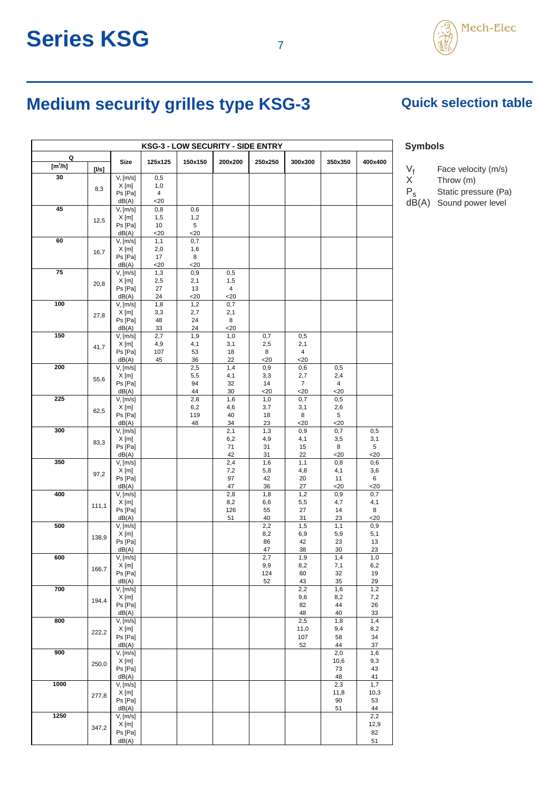# Mech-Elec

### **Medium security grilles type KSG-3** Quick selection table

| <b>KSG-3 - LOW SECURITY - SIDE ENTRY</b> |       |                        |                       |             |                |            |                          |             |             |
|------------------------------------------|-------|------------------------|-----------------------|-------------|----------------|------------|--------------------------|-------------|-------------|
| Q                                        |       | <b>Size</b>            | 125x125               | 150x150     | 200x200        | 250x250    | 300x300                  | 350x350     | 400x400     |
| [m <sup>3</sup> /h]                      | [Us]  |                        |                       |             |                |            |                          |             |             |
| 30                                       |       | $Vr$ [m/s]             | 0,5                   |             |                |            |                          |             |             |
|                                          | 8,3   | X[m]<br>Ps [Pa]        | 1,0<br>$\overline{4}$ |             |                |            |                          |             |             |
|                                          |       | dB(A)                  | $<$ 20                |             |                |            |                          |             |             |
| 45                                       |       | $Vr$ [m/s]             | 0,8                   | 0,6         |                |            |                          |             |             |
|                                          | 12,5  | X[m]                   | 1,5                   | 1,2         |                |            |                          |             |             |
|                                          |       | Ps [Pa]<br>dB(A)       | 10<br>$20$            | 5<br>$20$   |                |            |                          |             |             |
| 60                                       |       | $V$ , [m/s]            | 1,1                   | 0,7         |                |            |                          |             |             |
|                                          | 16,7  | X[m]                   | 2,0                   | 1,6         |                |            |                          |             |             |
|                                          |       | Ps [Pa]                | 17                    | 8           |                |            |                          |             |             |
| 75                                       |       | dB(A)<br>V, [m/s]      | $20$<br>1,3           | $20$<br>0,9 | 0,5            |            |                          |             |             |
|                                          |       | X[m]                   | 2,5                   | 2,1         | 1,5            |            |                          |             |             |
|                                          | 20,8  | Ps [Pa]                | 27                    | 13          | $\overline{4}$ |            |                          |             |             |
| 100                                      |       | dB(A)                  | 24                    | $20$        | $<$ 20         |            |                          |             |             |
|                                          |       | V, [m/s]<br>X[m]       | 1,8<br>3,3            | 1,2<br>2,7  | 0,7<br>2,1     |            |                          |             |             |
|                                          | 27,8  | Ps [Pa]                | 48                    | 24          | 8              |            |                          |             |             |
|                                          |       | dB(A)                  | 33                    | 24          | $20$           |            |                          |             |             |
| 150                                      |       | V, [m/s]               | 2,7                   | 1,9         | 1,0            | 0,7        | 0,5                      |             |             |
|                                          | 41,7  | X[m]<br>Ps [Pa]        | 4,9<br>107            | 4,1<br>53   | 3,1<br>18      | 2,5<br>8   | 2,1<br>4                 |             |             |
|                                          |       | dB(A)                  | 45                    | 36          | 22             | $<$ 20     | $20$                     |             |             |
| 200                                      |       | V, [m/s]               |                       | 2,5         | 1,4            | 0,9        | 0,6                      | 0,5         |             |
|                                          | 55,6  | $X$ [m]                |                       | 5,5         | 4,1            | 3,3        | 2,7                      | 2,4         |             |
|                                          |       | Ps [Pa]<br>dB(A)       |                       | 94<br>44    | 32<br>30       | 14<br>$20$ | $\overline{7}$<br>$<$ 20 | 4<br>$<$ 20 |             |
| 225                                      |       | V, [m/s]               |                       | 2,8         | 1,6            | 1,0        | 0,7                      | 0,5         |             |
|                                          | 62,5  | X[m]                   |                       | 6,2         | 4,6            | 3,7        | 3,1                      | 2,6         |             |
|                                          |       | Ps [Pa]                |                       | 119         | 40             | 18         | 8                        | 5           |             |
| 300                                      |       | dB(A)<br>$V_{1}$ [m/s] |                       | 48          | 34<br>2,1      | 23<br>1,3  | $<$ 20<br>0,9            | $20$<br>0,7 | 0,5         |
|                                          |       | X[m]                   |                       |             | 6,2            | 4,9        | 4,1                      | 3,5         | 3,1         |
|                                          | 83,3  | Ps [Pa]                |                       |             | 71             | 31         | 15                       | 8           | 5           |
| 350                                      |       | dB(A)                  |                       |             | 42<br>2,4      | 31         | 22<br>1,1                | $<$ 20      | $20$        |
|                                          |       | $Vr$ [m/s]<br>X[m]     |                       |             | 7,2            | 1,6<br>5,8 | 4,8                      | 0,8<br>4,1  | 0,6<br>3,6  |
|                                          | 97,2  | Ps [Pa]                |                       |             | 97             | 42         | 20                       | 11          | 6           |
|                                          |       | dB(A)                  |                       |             | 47             | 36         | 27                       | $20$        | $20$        |
| 400                                      |       | V, [m/s]<br>$X$ [m]    |                       |             | 2,8<br>8,2     | 1,8<br>6,6 | 1,2<br>5,5               | 0,9<br>4,7  | 0,7<br>4,1  |
|                                          | 111,1 | Ps [Pa]                |                       |             | 126            | 55         | 27                       | 14          | 8           |
|                                          |       | dB(A)                  |                       |             | 51             | 40         | 31                       | 23          | $<$ 20      |
| 500                                      |       | V, [m/s]               |                       |             |                | 2,2        | 1,5                      | 1,1         | 0,9         |
|                                          | 138,9 | $X$ [m]<br>Ps [Pa]     |                       |             |                | 8,2<br>86  | 6,9<br>42                | 5,9<br>23   | 5,1<br>13   |
|                                          |       | dB(A)                  |                       |             |                | 47         | 38                       | 30          | 23          |
| 600                                      |       | V, [m/s]               |                       |             |                | 2,7        | 1,9                      | 1,4         | 1,0         |
|                                          | 166,7 | $X$ [m]                |                       |             |                | 9,9        | 8,2                      | 7,1         | 6,2         |
|                                          |       | Ps [Pa]<br>dB(A)       |                       |             |                | 124<br>52  | 60<br>43                 | 32<br>35    | 19<br>29    |
| 700                                      |       | $Vf$ [m/s]             |                       |             |                |            | 2,2                      | 1,6         | 1,2         |
|                                          | 194,4 | X[m]                   |                       |             |                |            | 9,6                      | 8,2         | 7,2         |
|                                          |       | Ps [Pa]<br>dB(A)       |                       |             |                |            | 82<br>48                 | 44<br>40    | 26<br>33    |
| 800                                      |       | V, [m/s]               |                       |             |                |            | 2,5                      | 1,8         | 1,4         |
|                                          | 222,2 | X[m]                   |                       |             |                |            | 11,0                     | 9,4         | 8,2         |
|                                          |       | Ps [Pa]                |                       |             |                |            | 107                      | 58          | 34          |
| 900                                      |       | dB(A)<br>V, [m/s]      |                       |             |                |            | 52                       | 44<br>2,0   | 37<br>1,6   |
|                                          | 250,0 | $X$ [m]                |                       |             |                |            |                          | 10,6        | 9,3         |
|                                          |       | Ps [Pa]                |                       |             |                |            |                          | 73          | 43          |
| 1000                                     |       | dB(A)                  |                       |             |                |            |                          | 48          | 41          |
|                                          |       | $Vr$ [m/s]<br>X[m]     |                       |             |                |            |                          | 2,3<br>11,8 | 1,7<br>10,3 |
|                                          | 277,8 | Ps [Pa]                |                       |             |                |            |                          | 90          | 53          |
|                                          |       | dB(A)                  |                       |             |                |            |                          | 51          | 44          |
| 1250                                     |       | $Vr$ [m/s]             |                       |             |                |            |                          |             | 2,2         |
|                                          | 347,2 | X[m]<br>Ps [Pa]        |                       |             |                |            |                          |             | 12,9<br>82  |
|                                          |       | dB(A)                  |                       |             |                |            |                          |             | 51          |
|                                          |       |                        |                       |             |                |            |                          |             |             |

#### **Symbols**

- $V_f$  Face velocity (m/s)<br>X Throw (m)
- $X$  Throw (m)<br> $P_s$  Static pres
	- Static pressure (Pa)
- $dB(A)$  Sound power level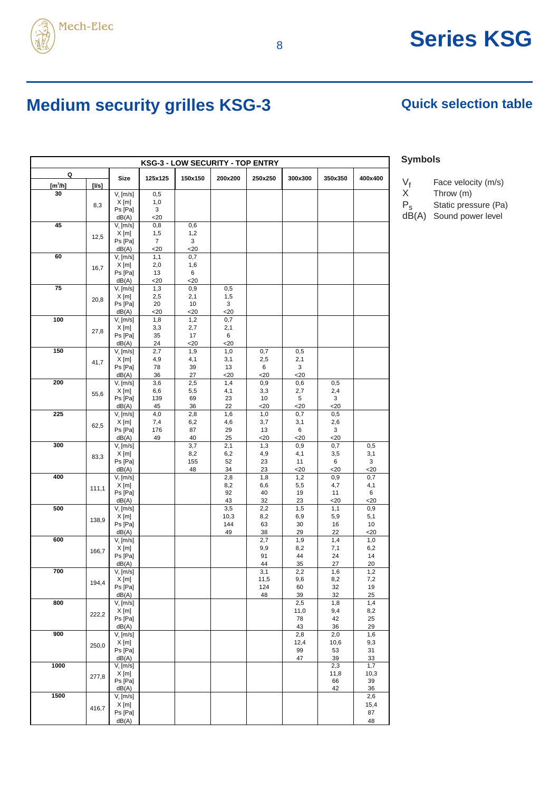

## 8 **Series KSG**

### **Medium security grilles KSG-3 Quick selection table**

| <b>KSG-3 - LOW SECURITY - TOP ENTRY</b> |       |                      |                |             |             |               |               |               |            |
|-----------------------------------------|-------|----------------------|----------------|-------------|-------------|---------------|---------------|---------------|------------|
| Q                                       |       | <b>Size</b>          | 125x125        | 150x150     | 200x200     | 250x250       | 300x300       | 350x350       | 400x400    |
| $[m^3/h]$                               | [I/s] |                      |                |             |             |               |               |               |            |
| 30                                      |       | V, [m/s]             | 0,5            |             |             |               |               |               |            |
|                                         | 8,3   | $X$ [m]              | 1,0            |             |             |               |               |               |            |
|                                         |       | Ps [Pa]<br>dB(A)     | 3<br>$<$ 20    |             |             |               |               |               |            |
| 45                                      |       | V, [m/s]             | 0,8            | 0,6         |             |               |               |               |            |
|                                         | 12,5  | $X$ [m]              | 1,5            | 1,2         |             |               |               |               |            |
|                                         |       | Ps [Pa]              | $\overline{7}$ | 3           |             |               |               |               |            |
| 60                                      |       | dB(A)<br>V, [m/s]    | $20$<br>1,1    | $20$<br>0,7 |             |               |               |               |            |
|                                         | 16,7  | $X$ [m]              | 2,0            | 1,6         |             |               |               |               |            |
|                                         |       | Ps [Pa]              | 13             | 6           |             |               |               |               |            |
| 75                                      |       | dB(A)                | $<$ 20         | $20$        |             |               |               |               |            |
|                                         |       | V, [m/s]<br>$X$ [m]  | 1,3<br>2,5     | 0,9<br>2,1  | 0,5<br>1,5  |               |               |               |            |
|                                         | 20,8  | Ps [Pa]              | 20             | 10          | 3           |               |               |               |            |
|                                         |       | dB(A)                | $20$           | $<$ 20      | $20$        |               |               |               |            |
| 100                                     |       | V, [m/s]             | 1,8            | 1,2         | 0,7         |               |               |               |            |
|                                         | 27,8  | $X$ [m]<br>Ps [Pa]   | 3,3<br>35      | 2,7<br>17   | 2,1<br>6    |               |               |               |            |
|                                         |       | dB(A)                | 24             | $<$ 20      | $<$ 20      |               |               |               |            |
| 150                                     |       | V, [m/s]             | 2,7            | 1,9         | 1,0         | 0,7           | 0,5           |               |            |
|                                         | 41,7  | $X$ [m]<br>Ps [Pa]   | 4,9<br>78      | 4,1<br>39   | 3,1<br>13   | 2,5<br>6      | 2,1<br>3      |               |            |
|                                         |       | dB(A)                | 36             | 27          | $<$ 20      | $20$          | $20$          |               |            |
| 200                                     |       | V, [m/s]             | 3,6            | 2,5         | 1,4         | 0,9           | 0,6           | 0,5           |            |
|                                         | 55,6  | $X$ [m]              | 6,6            | 5,5         | 4,1         | 3,3           | 2,7           | 2,4           |            |
|                                         |       | Ps [Pa]<br>dB(A)     | 139<br>45      | 69<br>36    | 23<br>22    | 10<br>$<$ 20  | 5<br>$<$ 20   | 3<br>$20$     |            |
| 225                                     |       | V, [m/s]             | 4,0            | 2,8         | 1,6         | 1,0           | 0,7           | 0,5           |            |
|                                         | 62,5  | $X$ [m]              | 7,4            | 6,2         | 4,6         | 3,7           | 3,1           | 2,6           |            |
|                                         |       | Ps [Pa]              | 176            | 87          | 29          | 13            | 6             | 3             |            |
| 300                                     |       | dB(A)<br>V, [m/s]    | 49             | 40<br>3,7   | 25<br>2,1   | $<$ 20<br>1,3 | $<$ 20<br>0,9 | $<$ 20<br>0,7 | 0,5        |
|                                         | 83,3  | $X$ [m]              |                | 8,2         | 6,2         | 4,9           | 4,1           | 3,5           | 3,1        |
|                                         |       | Ps [Pa]              |                | 155         | 52          | 23            | 11            | 6             | 3          |
| 400                                     |       | dB(A)<br>$Vt$ [m/s]  |                | 48          | 34          | 23            | $<$ 20        | $<$ 20        | 20<br>0,7  |
|                                         |       | $X$ [m]              |                |             | 2,8<br>8,2  | 1,8<br>6,6    | 1,2<br>5,5    | 0,9<br>4,7    | 4,1        |
|                                         | 111,1 | Ps [Pa]              |                |             | 92          | 40            | 19            | 11            | 6          |
|                                         |       | dB(A)                |                |             | 43          | 32            | 23            | $<$ 20        | <20        |
| 500                                     |       | V, [m/s]<br>$X$ [m]  |                |             | 3,5<br>10,3 | 2,2<br>8,2    | 1,5<br>6,9    | 1,1<br>5,9    | 0,9<br>5,1 |
|                                         | 138,9 | Ps [Pa]              |                |             | 144         | 63            | 30            | 16            | 10         |
|                                         |       | dB(A)                |                |             | 49          | 38            | 29            | 22            | $<$ 20     |
| 600                                     |       | V, [m/s]             |                |             |             | 2,7           | 1,9           | 1,4           | 1,0        |
|                                         | 166,7 | $X$ [m]<br>Ps [Pa]   |                |             |             | 9,9<br>91     | 8,2<br>44     | 7,1<br>24     | 6,2<br>14  |
|                                         |       | dB(A)                |                |             |             | 44            | 35            | 27            | 20         |
| 700                                     |       | V, [m/s]             |                |             |             | 3,1           | 2,2           | 1,6           | 1,2        |
|                                         | 194,4 | X [m]<br>Ps [Pa]     |                |             |             | 11,5          | 9,6<br>60     | 8,2           | 7,2<br>19  |
|                                         |       | dB(A)                |                |             |             | 124<br>48     | 39            | 32<br>32      | 25         |
| 800                                     |       | V, [m/s]             |                |             |             |               | 2,5           | 1,8           | 1,4        |
|                                         | 222,2 | $X$ [m]              |                |             |             |               | 11,0          | 9,4           | 8,2        |
|                                         |       | Ps [Pa]<br>dB(A)     |                |             |             |               | 78<br>43      | 42<br>36      | 25<br>29   |
| 900                                     |       | V, [m/s]             |                |             |             |               | 2,8           | 2,0           | 1,6        |
|                                         | 250,0 | X[m]                 |                |             |             |               | 12,4          | 10,6          | 9,3        |
|                                         |       | Ps [Pa]              |                |             |             |               | 99            | 53            | 31         |
| 1000                                    |       | dB(A)<br>V, [m/s]    |                |             |             |               | 47            | 39<br>2,3     | 33<br>1,7  |
|                                         | 277,8 | $X$ [m]              |                |             |             |               |               | 11,8          | 10,3       |
|                                         |       | Ps [Pa]              |                |             |             |               |               | 66            | 39         |
| 1500                                    |       | dB(A)<br>$V$ , [m/s] |                |             |             |               |               | 42            | 36<br>2,6  |
|                                         | 416,7 | $X$ [m]              |                |             |             |               |               |               | 15,4       |
|                                         |       | Ps [Pa]              |                |             |             |               |               |               | 87         |
|                                         |       | dB(A)                |                |             |             |               |               |               | 48         |

#### **Symbols**

- $V_f$  Face velocity (m/s)<br>X Throw (m)
	- Throw  $(m)$
- P<sub>s</sub> Static pressure (Pa)
- dB(A) Sound power level